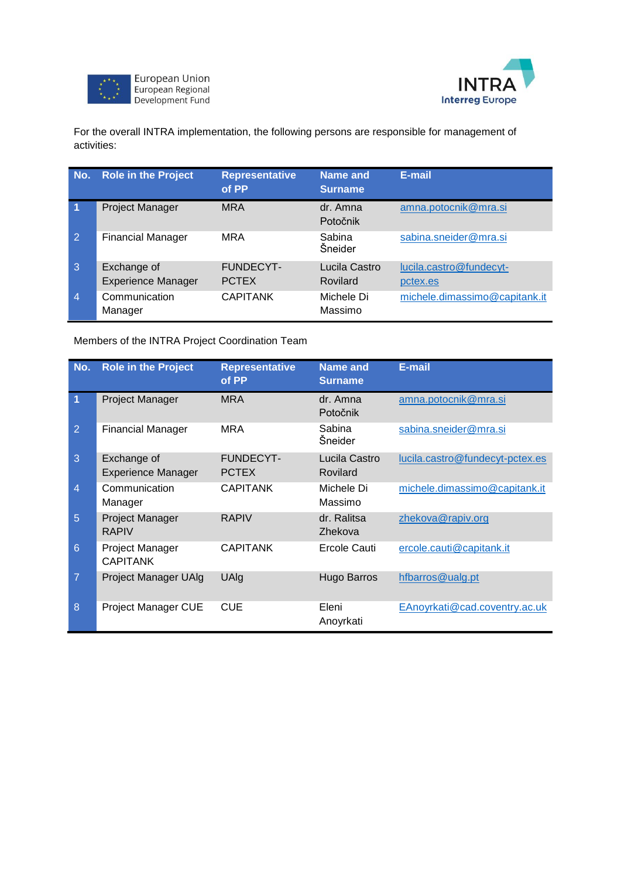



For the overall INTRA implementation, the following persons are responsible for management of activities:

| No.                  | <b>Role in the Project</b>               | <b>Representative</b><br>of PP   | Name and<br><b>Surname</b> | E-mail                              |
|----------------------|------------------------------------------|----------------------------------|----------------------------|-------------------------------------|
| $\blacktriangleleft$ | Project Manager                          | <b>MRA</b>                       | dr. Amna<br>Potočnik       | amna.potocnik@mra.si                |
| 2                    | <b>Financial Manager</b>                 | <b>MRA</b>                       | Sabina<br>Šneider          | sabina.sneider@mra.si               |
| 3                    | Exchange of<br><b>Experience Manager</b> | <b>FUNDECYT-</b><br><b>PCTEX</b> | Lucila Castro<br>Rovilard  | lucila.castro@fundecyt-<br>pctex.es |
| $\overline{4}$       | Communication<br>Manager                 | <b>CAPITANK</b>                  | Michele Di<br>Massimo      | michele.dimassimo@capitank.it       |

Members of the INTRA Project Coordination Team

| No.            | <b>Role in the Project</b>               | <b>Representative</b><br>of PP   | <b>Name and</b><br><b>Surname</b> | E-mail                          |
|----------------|------------------------------------------|----------------------------------|-----------------------------------|---------------------------------|
| 1              | <b>Project Manager</b>                   | <b>MRA</b>                       | dr. Amna<br>Potočnik              | amna.potocnik@mra.si            |
| $\overline{2}$ | <b>Financial Manager</b>                 | <b>MRA</b>                       | Sabina<br>Šneider                 | sabina.sneider@mra.si           |
| 3              | Exchange of<br><b>Experience Manager</b> | <b>FUNDECYT-</b><br><b>PCTEX</b> | Lucila Castro<br>Rovilard         | lucila.castro@fundecyt-pctex.es |
| $\overline{4}$ | Communication<br>Manager                 | <b>CAPITANK</b>                  | Michele Di<br>Massimo             | michele.dimassimo@capitank.it   |
| 5              | Project Manager<br><b>RAPIV</b>          | <b>RAPIV</b>                     | dr. Ralitsa<br>Zhekova            | zhekova@rapiv.org               |
| 6              | Project Manager<br><b>CAPITANK</b>       | <b>CAPITANK</b>                  | Ercole Cauti                      | ercole.cauti@capitank.it        |
| $\overline{7}$ | <b>Project Manager UAlg</b>              | UAlg                             | <b>Hugo Barros</b>                | hfbarros@ualg.pt                |
| 8              | Project Manager CUE                      | <b>CUE</b>                       | Eleni<br>Anoyrkati                | EAnoyrkati@cad.coventry.ac.uk   |